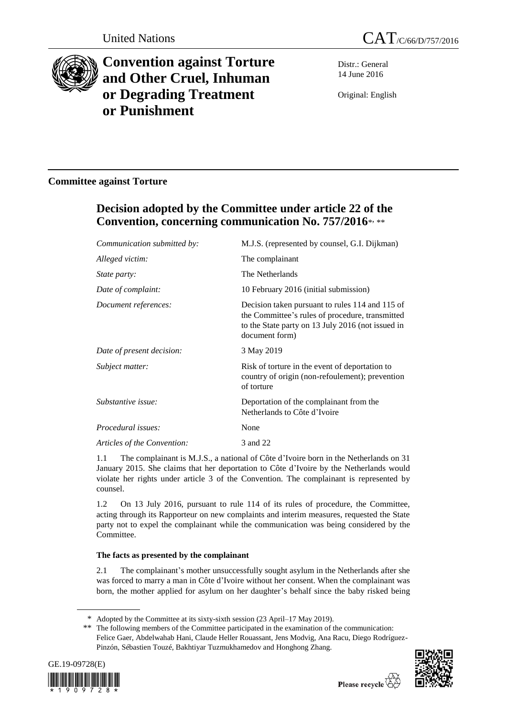



# **Convention against Torture and Other Cruel, Inhuman or Degrading Treatment or Punishment**

Distr.: General 14 June 2016

Original: English

# **Committee against Torture**

# **Decision adopted by the Committee under article 22 of the Convention, concerning communication No. 757/2016**\* , \*\*

| Communication submitted by: | M.J.S. (represented by counsel, G.I. Dijkman)                                                                                                                             |
|-----------------------------|---------------------------------------------------------------------------------------------------------------------------------------------------------------------------|
| Alleged victim:             | The complainant                                                                                                                                                           |
| <i>State party:</i>         | The Netherlands                                                                                                                                                           |
| Date of complaint:          | 10 February 2016 (initial submission)                                                                                                                                     |
| Document references:        | Decision taken pursuant to rules 114 and 115 of<br>the Committee's rules of procedure, transmitted<br>to the State party on 13 July 2016 (not issued in<br>document form) |
| Date of present decision:   | 3 May 2019                                                                                                                                                                |
| Subject matter:             | Risk of torture in the event of deportation to<br>country of origin (non-refoulement); prevention<br>of torture                                                           |
| Substantive issue:          | Deportation of the complainant from the<br>Netherlands to Côte d'Ivoire                                                                                                   |
| Procedural issues:          | None                                                                                                                                                                      |
| Articles of the Convention: | 3 and 22                                                                                                                                                                  |
|                             |                                                                                                                                                                           |

1.1 The complainant is M.J.S., a national of Côte d'Ivoire born in the Netherlands on 31 January 2015. She claims that her deportation to Côte d'Ivoire by the Netherlands would violate her rights under article 3 of the Convention. The complainant is represented by counsel.

1.2 On 13 July 2016, pursuant to rule 114 of its rules of procedure, the Committee, acting through its Rapporteur on new complaints and interim measures, requested the State party not to expel the complainant while the communication was being considered by the Committee.

# **The facts as presented by the complainant**

2.1 The complainant's mother unsuccessfully sought asylum in the Netherlands after she was forced to marry a man in Côte d'Ivoire without her consent. When the complainant was born, the mother applied for asylum on her daughter's behalf since the baby risked being

<sup>\*\*</sup> The following members of the Committee participated in the examination of the communication: Felice Gaer, Abdelwahab Hani, Claude Heller Rouassant, Jens Modvig, Ana Racu, Diego Rodríguez-Pinzón, Sébastien Touzé, Bakhtiyar Tuzmukhamedov and Honghong Zhang.





<sup>\*</sup> Adopted by the Committee at its sixty-sixth session (23 April–17 May 2019).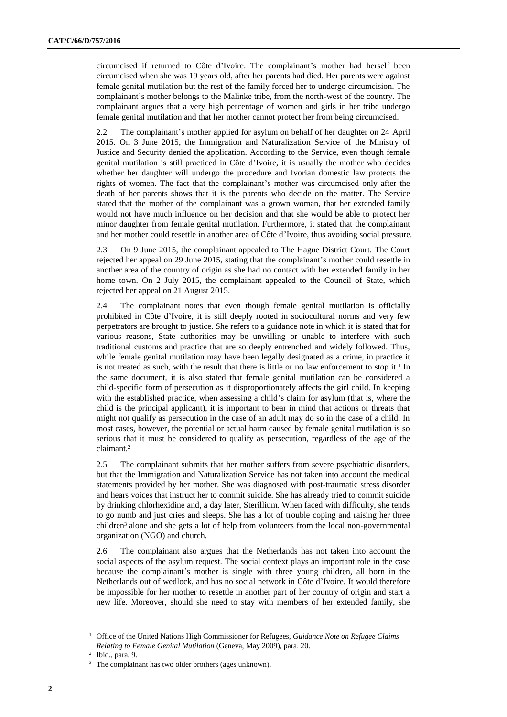circumcised if returned to Côte d'Ivoire. The complainant's mother had herself been circumcised when she was 19 years old, after her parents had died. Her parents were against female genital mutilation but the rest of the family forced her to undergo circumcision. The complainant's mother belongs to the Malinke tribe, from the north-west of the country. The complainant argues that a very high percentage of women and girls in her tribe undergo female genital mutilation and that her mother cannot protect her from being circumcised.

2.2 The complainant's mother applied for asylum on behalf of her daughter on 24 April 2015. On 3 June 2015, the Immigration and Naturalization Service of the Ministry of Justice and Security denied the application. According to the Service, even though female genital mutilation is still practiced in Côte d'Ivoire, it is usually the mother who decides whether her daughter will undergo the procedure and Ivorian domestic law protects the rights of women. The fact that the complainant's mother was circumcised only after the death of her parents shows that it is the parents who decide on the matter. The Service stated that the mother of the complainant was a grown woman, that her extended family would not have much influence on her decision and that she would be able to protect her minor daughter from female genital mutilation. Furthermore, it stated that the complainant and her mother could resettle in another area of Côte d'Ivoire, thus avoiding social pressure.

2.3 On 9 June 2015, the complainant appealed to The Hague District Court. The Court rejected her appeal on 29 June 2015, stating that the complainant's mother could resettle in another area of the country of origin as she had no contact with her extended family in her home town. On 2 July 2015, the complainant appealed to the Council of State, which rejected her appeal on 21 August 2015.

2.4 The complainant notes that even though female genital mutilation is officially prohibited in Côte d'Ivoire, it is still deeply rooted in sociocultural norms and very few perpetrators are brought to justice. She refers to a guidance note in which it is stated that for various reasons, State authorities may be unwilling or unable to interfere with such traditional customs and practice that are so deeply entrenched and widely followed. Thus, while female genital mutilation may have been legally designated as a crime, in practice it is not treated as such, with the result that there is little or no law enforcement to stop it.<sup>1</sup> In the same document, it is also stated that female genital mutilation can be considered a child-specific form of persecution as it disproportionately affects the girl child. In keeping with the established practice, when assessing a child's claim for asylum (that is, where the child is the principal applicant), it is important to bear in mind that actions or threats that might not qualify as persecution in the case of an adult may do so in the case of a child. In most cases, however, the potential or actual harm caused by female genital mutilation is so serious that it must be considered to qualify as persecution, regardless of the age of the claimant.<sup>2</sup>

2.5 The complainant submits that her mother suffers from severe psychiatric disorders, but that the Immigration and Naturalization Service has not taken into account the medical statements provided by her mother. She was diagnosed with post-traumatic stress disorder and hears voices that instruct her to commit suicide. She has already tried to commit suicide by drinking chlorhexidine and, a day later, Sterillium. When faced with difficulty, she tends to go numb and just cries and sleeps. She has a lot of trouble coping and raising her three children<sup>3</sup> alone and she gets a lot of help from volunteers from the local non-governmental organization (NGO) and church.

2.6 The complainant also argues that the Netherlands has not taken into account the social aspects of the asylum request. The social context plays an important role in the case because the complainant's mother is single with three young children, all born in the Netherlands out of wedlock, and has no social network in Côte d'Ivoire. It would therefore be impossible for her mother to resettle in another part of her country of origin and start a new life. Moreover, should she need to stay with members of her extended family, she

<sup>1</sup> Office of the United Nations High Commissioner for Refugees, *Guidance Note on Refugee Claims Relating to Female Genital Mutilation* (Geneva, May 2009), para. 20.

 $<sup>2</sup>$  Ibid., para. 9.</sup>

<sup>&</sup>lt;sup>3</sup> The complainant has two older brothers (ages unknown).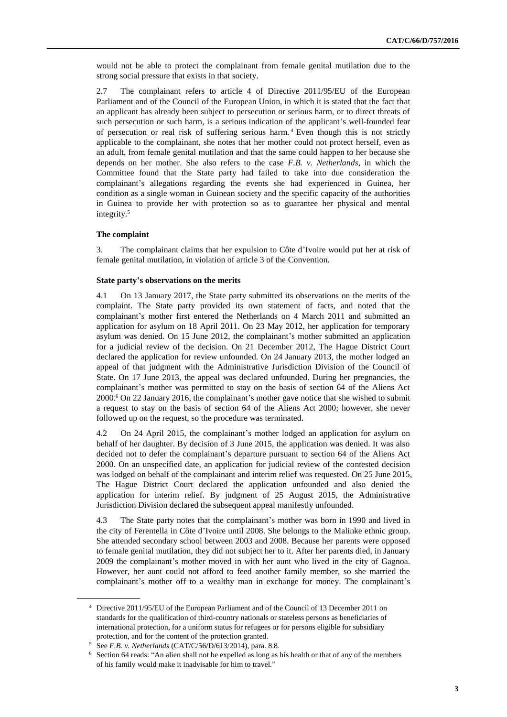would not be able to protect the complainant from female genital mutilation due to the strong social pressure that exists in that society.

2.7 The complainant refers to article 4 of Directive 2011/95/EU of the European Parliament and of the Council of the European Union, in which it is stated that the fact that an applicant has already been subject to persecution or serious harm, or to direct threats of such persecution or such harm, is a serious indication of the applicant's well-founded fear of persecution or real risk of suffering serious harm. <sup>4</sup> Even though this is not strictly applicable to the complainant, she notes that her mother could not protect herself, even as an adult, from female genital mutilation and that the same could happen to her because she depends on her mother. She also refers to the case *F.B. v. Netherlands*, in which the Committee found that the State party had failed to take into due consideration the complainant's allegations regarding the events she had experienced in Guinea, her condition as a single woman in Guinean society and the specific capacity of the authorities in Guinea to provide her with protection so as to guarantee her physical and mental integrity.<sup>5</sup>

## **The complaint**

3. The complainant claims that her expulsion to Côte d'Ivoire would put her at risk of female genital mutilation, in violation of article 3 of the Convention.

## **State party's observations on the merits**

4.1 On 13 January 2017, the State party submitted its observations on the merits of the complaint. The State party provided its own statement of facts, and noted that the complainant's mother first entered the Netherlands on 4 March 2011 and submitted an application for asylum on 18 April 2011. On 23 May 2012, her application for temporary asylum was denied. On 15 June 2012, the complainant's mother submitted an application for a judicial review of the decision. On 21 December 2012, The Hague District Court declared the application for review unfounded. On 24 January 2013, the mother lodged an appeal of that judgment with the Administrative Jurisdiction Division of the Council of State. On 17 June 2013, the appeal was declared unfounded. During her pregnancies, the complainant's mother was permitted to stay on the basis of section 64 of the Aliens Act 2000.<sup>6</sup> On 22 January 2016, the complainant's mother gave notice that she wished to submit a request to stay on the basis of section 64 of the Aliens Act 2000; however, she never followed up on the request, so the procedure was terminated.

4.2 On 24 April 2015, the complainant's mother lodged an application for asylum on behalf of her daughter. By decision of 3 June 2015, the application was denied. It was also decided not to defer the complainant's departure pursuant to section 64 of the Aliens Act 2000. On an unspecified date, an application for judicial review of the contested decision was lodged on behalf of the complainant and interim relief was requested. On 25 June 2015, The Hague District Court declared the application unfounded and also denied the application for interim relief. By judgment of 25 August 2015, the Administrative Jurisdiction Division declared the subsequent appeal manifestly unfounded.

4.3 The State party notes that the complainant's mother was born in 1990 and lived in the city of Ferentella in Côte d'Ivoire until 2008. She belongs to the Malinke ethnic group. She attended secondary school between 2003 and 2008. Because her parents were opposed to female genital mutilation, they did not subject her to it. After her parents died, in January 2009 the complainant's mother moved in with her aunt who lived in the city of Gagnoa. However, her aunt could not afford to feed another family member, so she married the complainant's mother off to a wealthy man in exchange for money. The complainant's

<sup>4</sup> Directive 2011/95/EU of the European Parliament and of the Council of 13 December 2011 on standards for the qualification of third-country nationals or stateless persons as beneficiaries of international protection, for a uniform status for refugees or for persons eligible for subsidiary protection, and for the content of the protection granted.

<sup>5</sup> See *F.B. v. Netherlands* (CAT/C/56/D/613/2014), para. 8.8.

<sup>6</sup> Section 64 reads: "An alien shall not be expelled as long as his health or that of any of the members of his family would make it inadvisable for him to travel."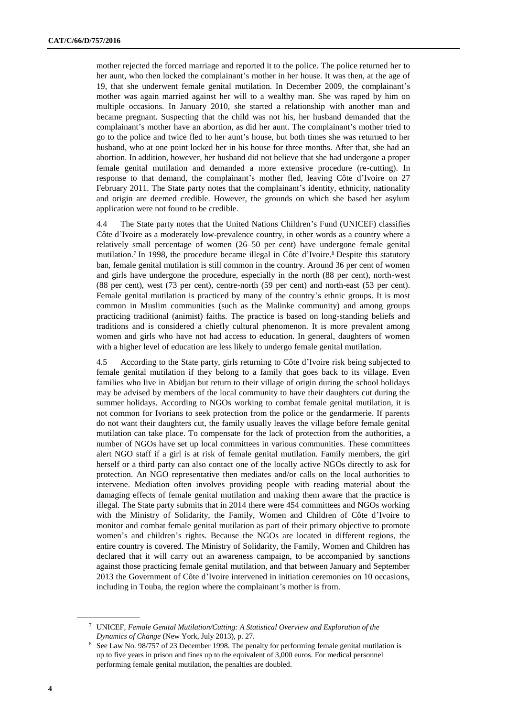mother rejected the forced marriage and reported it to the police. The police returned her to her aunt, who then locked the complainant's mother in her house. It was then, at the age of 19, that she underwent female genital mutilation. In December 2009, the complainant's mother was again married against her will to a wealthy man. She was raped by him on multiple occasions. In January 2010, she started a relationship with another man and became pregnant. Suspecting that the child was not his, her husband demanded that the complainant's mother have an abortion, as did her aunt. The complainant's mother tried to go to the police and twice fled to her aunt's house, but both times she was returned to her husband, who at one point locked her in his house for three months. After that, she had an abortion. In addition, however, her husband did not believe that she had undergone a proper female genital mutilation and demanded a more extensive procedure (re-cutting). In response to that demand, the complainant's mother fled, leaving Côte d'Ivoire on 27 February 2011. The State party notes that the complainant's identity, ethnicity, nationality and origin are deemed credible. However, the grounds on which she based her asylum application were not found to be credible.

4.4 The State party notes that the United Nations Children's Fund (UNICEF) classifies Côte d'Ivoire as a moderately low-prevalence country, in other words as a country where a relatively small percentage of women (26–50 per cent) have undergone female genital mutilation.<sup>7</sup> In 1998, the procedure became illegal in Côte d'Ivoire.<sup>8</sup> Despite this statutory ban, female genital mutilation is still common in the country. Around 36 per cent of women and girls have undergone the procedure, especially in the north (88 per cent), north-west (88 per cent), west (73 per cent), centre-north (59 per cent) and north-east (53 per cent). Female genital mutilation is practiced by many of the country's ethnic groups. It is most common in Muslim communities (such as the Malinke community) and among groups practicing traditional (animist) faiths. The practice is based on long-standing beliefs and traditions and is considered a chiefly cultural phenomenon. It is more prevalent among women and girls who have not had access to education. In general, daughters of women with a higher level of education are less likely to undergo female genital mutilation.

4.5 According to the State party, girls returning to Côte d'Ivoire risk being subjected to female genital mutilation if they belong to a family that goes back to its village. Even families who live in Abidjan but return to their village of origin during the school holidays may be advised by members of the local community to have their daughters cut during the summer holidays. According to NGOs working to combat female genital mutilation, it is not common for Ivorians to seek protection from the police or the gendarmerie. If parents do not want their daughters cut, the family usually leaves the village before female genital mutilation can take place. To compensate for the lack of protection from the authorities, a number of NGOs have set up local committees in various communities. These committees alert NGO staff if a girl is at risk of female genital mutilation. Family members, the girl herself or a third party can also contact one of the locally active NGOs directly to ask for protection. An NGO representative then mediates and/or calls on the local authorities to intervene. Mediation often involves providing people with reading material about the damaging effects of female genital mutilation and making them aware that the practice is illegal. The State party submits that in 2014 there were 454 committees and NGOs working with the Ministry of Solidarity, the Family, Women and Children of Côte d'Ivoire to monitor and combat female genital mutilation as part of their primary objective to promote women's and children's rights. Because the NGOs are located in different regions, the entire country is covered. The Ministry of Solidarity, the Family, Women and Children has declared that it will carry out an awareness campaign, to be accompanied by sanctions against those practicing female genital mutilation, and that between January and September 2013 the Government of Côte d'Ivoire intervened in initiation ceremonies on 10 occasions, including in Touba, the region where the complainant's mother is from.

<sup>7</sup> UNICEF, *Female Genital Mutilation/Cutting: A Statistical Overview and Exploration of the Dynamics of Change* (New York, July 2013), p. 27.

<sup>8</sup> See Law No. 98/757 of 23 December 1998. The penalty for performing female genital mutilation is up to five years in prison and fines up to the equivalent of 3,000 euros. For medical personnel performing female genital mutilation, the penalties are doubled.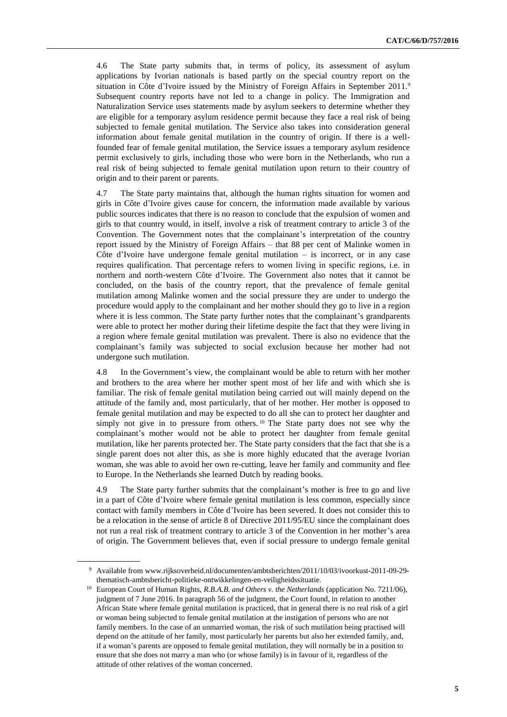4.6 The State party submits that, in terms of policy, its assessment of asylum applications by Ivorian nationals is based partly on the special country report on the situation in Côte d'Ivoire issued by the Ministry of Foreign Affairs in September 2011.<sup>9</sup> Subsequent country reports have not led to a change in policy. The Immigration and Naturalization Service uses statements made by asylum seekers to determine whether they are eligible for a temporary asylum residence permit because they face a real risk of being subjected to female genital mutilation. The Service also takes into consideration general information about female genital mutilation in the country of origin. If there is a wellfounded fear of female genital mutilation, the Service issues a temporary asylum residence permit exclusively to girls, including those who were born in the Netherlands, who run a real risk of being subjected to female genital mutilation upon return to their country of origin and to their parent or parents.

4.7 The State party maintains that, although the human rights situation for women and girls in Côte d'Ivoire gives cause for concern, the information made available by various public sources indicates that there is no reason to conclude that the expulsion of women and girls to that country would, in itself, involve a risk of treatment contrary to article 3 of the Convention. The Government notes that the complainant's interpretation of the country report issued by the Ministry of Foreign Affairs – that 88 per cent of Malinke women in Côte d'Ivoire have undergone female genital mutilation – is incorrect, or in any case requires qualification. That percentage refers to women living in specific regions, i.e. in northern and north-western Côte d'Ivoire. The Government also notes that it cannot be concluded, on the basis of the country report, that the prevalence of female genital mutilation among Malinke women and the social pressure they are under to undergo the procedure would apply to the complainant and her mother should they go to live in a region where it is less common. The State party further notes that the complainant's grandparents were able to protect her mother during their lifetime despite the fact that they were living in a region where female genital mutilation was prevalent. There is also no evidence that the complainant's family was subjected to social exclusion because her mother had not undergone such mutilation.

4.8 In the Government's view, the complainant would be able to return with her mother and brothers to the area where her mother spent most of her life and with which she is familiar. The risk of female genital mutilation being carried out will mainly depend on the attitude of the family and, most particularly, that of her mother. Her mother is opposed to female genital mutilation and may be expected to do all she can to protect her daughter and simply not give in to pressure from others.<sup>10</sup> The State party does not see why the complainant's mother would not be able to protect her daughter from female genital mutilation, like her parents protected her. The State party considers that the fact that she is a single parent does not alter this, as she is more highly educated that the average Ivorian woman, she was able to avoid her own re-cutting, leave her family and community and flee to Europe. In the Netherlands she learned Dutch by reading books.

4.9 The State party further submits that the complainant's mother is free to go and live in a part of Côte d'Ivoire where female genital mutilation is less common, especially since contact with family members in Côte d'Ivoire has been severed. It does not consider this to be a relocation in the sense of article 8 of Directive 2011/95/EU since the complainant does not run a real risk of treatment contrary to article 3 of the Convention in her mother's area of origin. The Government believes that, even if social pressure to undergo female genital

<sup>9</sup> Available from www.rijksoverheid.nl/documenten/ambtsberichten/2011/10/03/ivoorkust-2011-09-29 thematisch-ambtsbericht-politieke-ontwikkelingen-en-veiligheidssituatie.

<sup>10</sup> European Court of Human Rights, *R.B.A.B. and Others v. the Netherlands* (application No. 7211/06), judgment of 7 June 2016. In paragraph 56 of the judgment, the Court found, in relation to another African State where female genital mutilation is practiced, that in general there is no real risk of a girl or woman being subjected to female genital mutilation at the instigation of persons who are not family members. In the case of an unmarried woman, the risk of such mutilation being practised will depend on the attitude of her family, most particularly her parents but also her extended family, and, if a woman's parents are opposed to female genital mutilation, they will normally be in a position to ensure that she does not marry a man who (or whose family) is in favour of it, regardless of the attitude of other relatives of the woman concerned.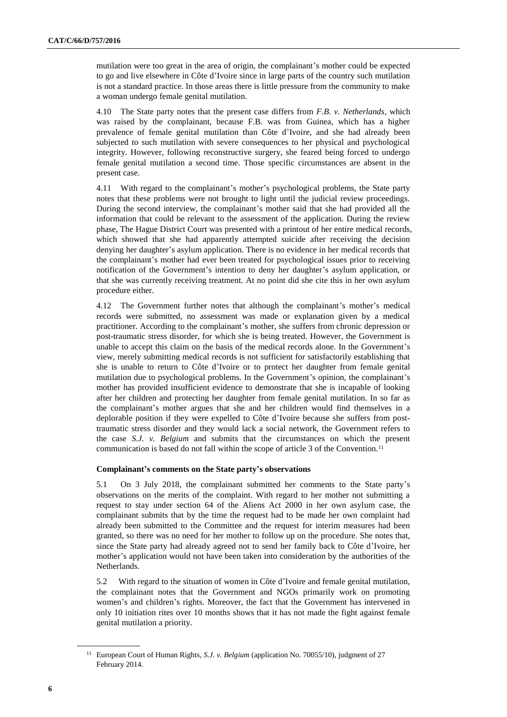mutilation were too great in the area of origin, the complainant's mother could be expected to go and live elsewhere in Côte d'Ivoire since in large parts of the country such mutilation is not a standard practice. In those areas there is little pressure from the community to make a woman undergo female genital mutilation.

4.10 The State party notes that the present case differs from *F.B. v. Netherlands*, which was raised by the complainant, because F.B. was from Guinea, which has a higher prevalence of female genital mutilation than Côte d'Ivoire, and she had already been subjected to such mutilation with severe consequences to her physical and psychological integrity. However, following reconstructive surgery, she feared being forced to undergo female genital mutilation a second time. Those specific circumstances are absent in the present case.

4.11 With regard to the complainant's mother's psychological problems, the State party notes that these problems were not brought to light until the judicial review proceedings. During the second interview, the complainant's mother said that she had provided all the information that could be relevant to the assessment of the application. During the review phase, The Hague District Court was presented with a printout of her entire medical records, which showed that she had apparently attempted suicide after receiving the decision denying her daughter's asylum application. There is no evidence in her medical records that the complainant's mother had ever been treated for psychological issues prior to receiving notification of the Government's intention to deny her daughter's asylum application, or that she was currently receiving treatment. At no point did she cite this in her own asylum procedure either.

4.12 The Government further notes that although the complainant's mother's medical records were submitted, no assessment was made or explanation given by a medical practitioner. According to the complainant's mother, she suffers from chronic depression or post-traumatic stress disorder, for which she is being treated. However, the Government is unable to accept this claim on the basis of the medical records alone. In the Government's view, merely submitting medical records is not sufficient for satisfactorily establishing that she is unable to return to Côte d'Ivoire or to protect her daughter from female genital mutilation due to psychological problems. In the Government's opinion, the complainant's mother has provided insufficient evidence to demonstrate that she is incapable of looking after her children and protecting her daughter from female genital mutilation. In so far as the complainant's mother argues that she and her children would find themselves in a deplorable position if they were expelled to Côte d'Ivoire because she suffers from posttraumatic stress disorder and they would lack a social network, the Government refers to the case *S.J. v. Belgium* and submits that the circumstances on which the present communication is based do not fall within the scope of article 3 of the Convention.<sup>11</sup>

# **Complainant's comments on the State party's observations**

5.1 On 3 July 2018, the complainant submitted her comments to the State party's observations on the merits of the complaint. With regard to her mother not submitting a request to stay under section 64 of the Aliens Act 2000 in her own asylum case, the complainant submits that by the time the request had to be made her own complaint had already been submitted to the Committee and the request for interim measures had been granted, so there was no need for her mother to follow up on the procedure. She notes that, since the State party had already agreed not to send her family back to Côte d'Ivoire, her mother's application would not have been taken into consideration by the authorities of the Netherlands.

5.2 With regard to the situation of women in Côte d'Ivoire and female genital mutilation, the complainant notes that the Government and NGOs primarily work on promoting women's and children's rights. Moreover, the fact that the Government has intervened in only 10 initiation rites over 10 months shows that it has not made the fight against female genital mutilation a priority.

<sup>11</sup> European Court of Human Rights, *S.J. v. Belgium* (application No. 70055/10), judgment of 27 February 2014.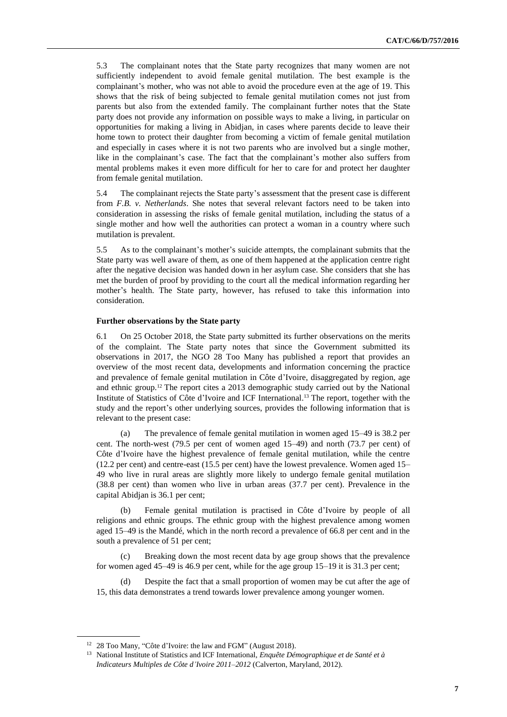5.3 The complainant notes that the State party recognizes that many women are not sufficiently independent to avoid female genital mutilation. The best example is the complainant's mother, who was not able to avoid the procedure even at the age of 19. This shows that the risk of being subjected to female genital mutilation comes not just from parents but also from the extended family. The complainant further notes that the State party does not provide any information on possible ways to make a living, in particular on opportunities for making a living in Abidjan, in cases where parents decide to leave their home town to protect their daughter from becoming a victim of female genital mutilation and especially in cases where it is not two parents who are involved but a single mother, like in the complainant's case. The fact that the complainant's mother also suffers from mental problems makes it even more difficult for her to care for and protect her daughter from female genital mutilation.

5.4 The complainant rejects the State party's assessment that the present case is different from *F.B. v. Netherlands*. She notes that several relevant factors need to be taken into consideration in assessing the risks of female genital mutilation, including the status of a single mother and how well the authorities can protect a woman in a country where such mutilation is prevalent.

5.5 As to the complainant's mother's suicide attempts, the complainant submits that the State party was well aware of them, as one of them happened at the application centre right after the negative decision was handed down in her asylum case. She considers that she has met the burden of proof by providing to the court all the medical information regarding her mother's health. The State party, however, has refused to take this information into consideration.

# **Further observations by the State party**

6.1 On 25 October 2018, the State party submitted its further observations on the merits of the complaint. The State party notes that since the Government submitted its observations in 2017, the NGO 28 Too Many has published a report that provides an overview of the most recent data, developments and information concerning the practice and prevalence of female genital mutilation in Côte d'Ivoire, disaggregated by region, age and ethnic group.<sup>12</sup> The report cites a 2013 demographic study carried out by the National Institute of Statistics of Côte d'Ivoire and ICF International.<sup>13</sup> The report, together with the study and the report's other underlying sources, provides the following information that is relevant to the present case:

(a) The prevalence of female genital mutilation in women aged 15–49 is 38.2 per cent. The north-west (79.5 per cent of women aged 15–49) and north (73.7 per cent) of Côte d'Ivoire have the highest prevalence of female genital mutilation, while the centre (12.2 per cent) and centre-east (15.5 per cent) have the lowest prevalence. Women aged 15– 49 who live in rural areas are slightly more likely to undergo female genital mutilation (38.8 per cent) than women who live in urban areas (37.7 per cent). Prevalence in the capital Abidjan is 36.1 per cent;

(b) Female genital mutilation is practised in Côte d'Ivoire by people of all religions and ethnic groups. The ethnic group with the highest prevalence among women aged 15–49 is the Mandé, which in the north record a prevalence of 66.8 per cent and in the south a prevalence of 51 per cent;

Breaking down the most recent data by age group shows that the prevalence for women aged 45–49 is 46.9 per cent, while for the age group 15–19 it is 31.3 per cent;

(d) Despite the fact that a small proportion of women may be cut after the age of 15, this data demonstrates a trend towards lower prevalence among younger women.

<sup>12</sup> 28 Too Many, "Côte d'Ivoire: the law and FGM" (August 2018).

<sup>13</sup> National Institute of Statistics and ICF International, *Enquête Démographique et de Santé et à Indicateurs Multiples de Côte d'Ivoire 2011–2012* (Calverton, Maryland, 2012).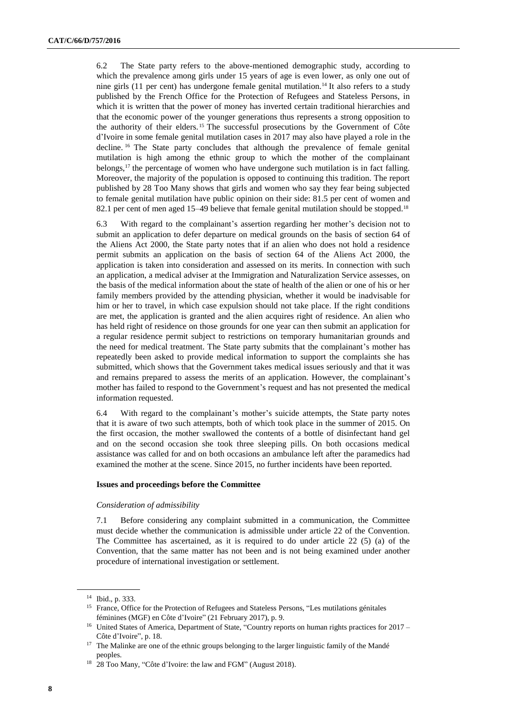6.2 The State party refers to the above-mentioned demographic study, according to which the prevalence among girls under 15 years of age is even lower, as only one out of nine girls (11 per cent) has undergone female genital mutilation.<sup>14</sup> It also refers to a study published by the French Office for the Protection of Refugees and Stateless Persons, in which it is written that the power of money has inverted certain traditional hierarchies and that the economic power of the younger generations thus represents a strong opposition to the authority of their elders. <sup>15</sup> The successful prosecutions by the Government of Côte d'Ivoire in some female genital mutilation cases in 2017 may also have played a role in the decline. <sup>16</sup> The State party concludes that although the prevalence of female genital mutilation is high among the ethnic group to which the mother of the complainant belongs,<sup>17</sup> the percentage of women who have undergone such mutilation is in fact falling. Moreover, the majority of the population is opposed to continuing this tradition. The report published by 28 Too Many shows that girls and women who say they fear being subjected to female genital mutilation have public opinion on their side: 81.5 per cent of women and 82.1 per cent of men aged 15–49 believe that female genital mutilation should be stopped.<sup>18</sup>

6.3 With regard to the complainant's assertion regarding her mother's decision not to submit an application to defer departure on medical grounds on the basis of section 64 of the Aliens Act 2000, the State party notes that if an alien who does not hold a residence permit submits an application on the basis of section 64 of the Aliens Act 2000, the application is taken into consideration and assessed on its merits. In connection with such an application, a medical adviser at the Immigration and Naturalization Service assesses, on the basis of the medical information about the state of health of the alien or one of his or her family members provided by the attending physician, whether it would be inadvisable for him or her to travel, in which case expulsion should not take place. If the right conditions are met, the application is granted and the alien acquires right of residence. An alien who has held right of residence on those grounds for one year can then submit an application for a regular residence permit subject to restrictions on temporary humanitarian grounds and the need for medical treatment. The State party submits that the complainant's mother has repeatedly been asked to provide medical information to support the complaints she has submitted, which shows that the Government takes medical issues seriously and that it was and remains prepared to assess the merits of an application. However, the complainant's mother has failed to respond to the Government's request and has not presented the medical information requested.

6.4 With regard to the complainant's mother's suicide attempts, the State party notes that it is aware of two such attempts, both of which took place in the summer of 2015. On the first occasion, the mother swallowed the contents of a bottle of disinfectant hand gel and on the second occasion she took three sleeping pills. On both occasions medical assistance was called for and on both occasions an ambulance left after the paramedics had examined the mother at the scene. Since 2015, no further incidents have been reported.

## **Issues and proceedings before the Committee**

#### *Consideration of admissibility*

7.1 Before considering any complaint submitted in a communication, the Committee must decide whether the communication is admissible under article 22 of the Convention. The Committee has ascertained, as it is required to do under article 22 (5) (a) of the Convention, that the same matter has not been and is not being examined under another procedure of international investigation or settlement.

<sup>14</sup> Ibid., p. 333.

<sup>&</sup>lt;sup>15</sup> France, Office for the Protection of Refugees and Stateless Persons, "Les mutilations génitales féminines (MGF) en Côte d'Ivoire" (21 February 2017), p. 9.

<sup>&</sup>lt;sup>16</sup> United States of America, Department of State, "Country reports on human rights practices for 2017 – Côte d'Ivoire", p. 18.

<sup>&</sup>lt;sup>17</sup> The Malinke are one of the ethnic groups belonging to the larger linguistic family of the Mandé peoples.

<sup>18</sup> 28 Too Many, "Côte d'Ivoire: the law and FGM" (August 2018).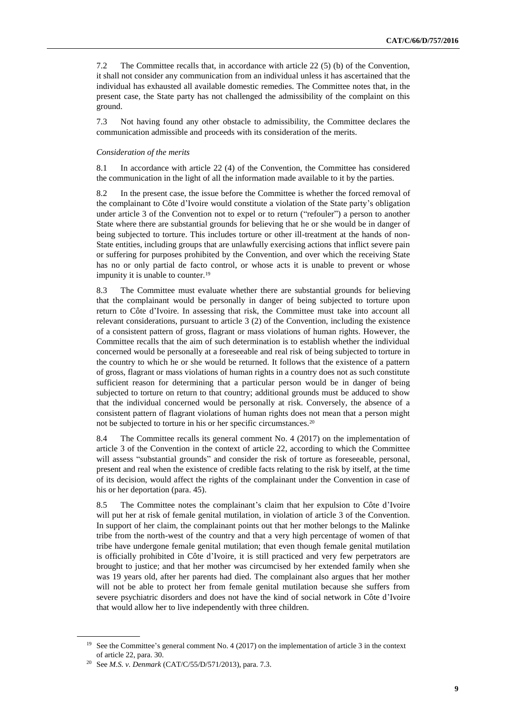7.2 The Committee recalls that, in accordance with article 22 (5) (b) of the Convention, it shall not consider any communication from an individual unless it has ascertained that the individual has exhausted all available domestic remedies. The Committee notes that, in the present case, the State party has not challenged the admissibility of the complaint on this ground.

7.3 Not having found any other obstacle to admissibility, the Committee declares the communication admissible and proceeds with its consideration of the merits.

#### *Consideration of the merits*

8.1 In accordance with article 22 (4) of the Convention, the Committee has considered the communication in the light of all the information made available to it by the parties.

8.2 In the present case, the issue before the Committee is whether the forced removal of the complainant to Côte d'Ivoire would constitute a violation of the State party's obligation under article 3 of the Convention not to expel or to return ("refouler") a person to another State where there are substantial grounds for believing that he or she would be in danger of being subjected to torture. This includes torture or other ill-treatment at the hands of non-State entities, including groups that are unlawfully exercising actions that inflict severe pain or suffering for purposes prohibited by the Convention, and over which the receiving State has no or only partial de facto control, or whose acts it is unable to prevent or whose impunity it is unable to counter.<sup>19</sup>

8.3 The Committee must evaluate whether there are substantial grounds for believing that the complainant would be personally in danger of being subjected to torture upon return to Côte d'Ivoire. In assessing that risk, the Committee must take into account all relevant considerations, pursuant to article 3 (2) of the Convention, including the existence of a consistent pattern of gross, flagrant or mass violations of human rights. However, the Committee recalls that the aim of such determination is to establish whether the individual concerned would be personally at a foreseeable and real risk of being subjected to torture in the country to which he or she would be returned. It follows that the existence of a pattern of gross, flagrant or mass violations of human rights in a country does not as such constitute sufficient reason for determining that a particular person would be in danger of being subjected to torture on return to that country; additional grounds must be adduced to show that the individual concerned would be personally at risk. Conversely, the absence of a consistent pattern of flagrant violations of human rights does not mean that a person might not be subjected to torture in his or her specific circumstances.<sup>20</sup>

8.4 The Committee recalls its general comment No. 4 (2017) on the implementation of article 3 of the Convention in the context of article 22, according to which the Committee will assess "substantial grounds" and consider the risk of torture as foreseeable, personal, present and real when the existence of credible facts relating to the risk by itself, at the time of its decision, would affect the rights of the complainant under the Convention in case of his or her deportation (para. 45).

8.5 The Committee notes the complainant's claim that her expulsion to Côte d'Ivoire will put her at risk of female genital mutilation, in violation of article 3 of the Convention. In support of her claim, the complainant points out that her mother belongs to the Malinke tribe from the north-west of the country and that a very high percentage of women of that tribe have undergone female genital mutilation; that even though female genital mutilation is officially prohibited in Côte d'Ivoire, it is still practiced and very few perpetrators are brought to justice; and that her mother was circumcised by her extended family when she was 19 years old, after her parents had died. The complainant also argues that her mother will not be able to protect her from female genital mutilation because she suffers from severe psychiatric disorders and does not have the kind of social network in Côte d'Ivoire that would allow her to live independently with three children.

<sup>&</sup>lt;sup>19</sup> See the Committee's general comment No. 4 (2017) on the implementation of article 3 in the context of article 22, para. 30.

<sup>20</sup> See *M.S. v. Denmark* (CAT/C/55/D/571/2013), para. 7.3.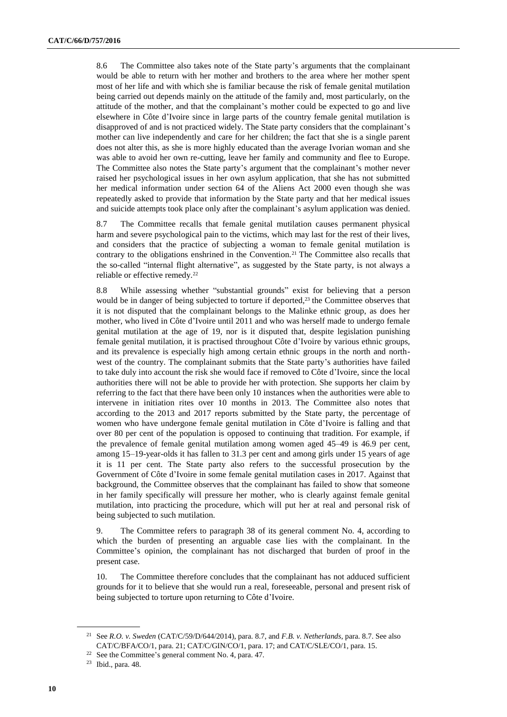8.6 The Committee also takes note of the State party's arguments that the complainant would be able to return with her mother and brothers to the area where her mother spent most of her life and with which she is familiar because the risk of female genital mutilation being carried out depends mainly on the attitude of the family and, most particularly, on the attitude of the mother, and that the complainant's mother could be expected to go and live elsewhere in Côte d'Ivoire since in large parts of the country female genital mutilation is disapproved of and is not practiced widely. The State party considers that the complainant's mother can live independently and care for her children; the fact that she is a single parent does not alter this, as she is more highly educated than the average Ivorian woman and she was able to avoid her own re-cutting, leave her family and community and flee to Europe. The Committee also notes the State party's argument that the complainant's mother never raised her psychological issues in her own asylum application, that she has not submitted her medical information under section 64 of the Aliens Act 2000 even though she was repeatedly asked to provide that information by the State party and that her medical issues and suicide attempts took place only after the complainant's asylum application was denied.

8.7 The Committee recalls that female genital mutilation causes permanent physical harm and severe psychological pain to the victims, which may last for the rest of their lives, and considers that the practice of subjecting a woman to female genital mutilation is contrary to the obligations enshrined in the Convention.<sup>21</sup> The Committee also recalls that the so-called "internal flight alternative", as suggested by the State party, is not always a reliable or effective remedy.<sup>22</sup>

8.8 While assessing whether "substantial grounds" exist for believing that a person would be in danger of being subjected to torture if deported,<sup>23</sup> the Committee observes that it is not disputed that the complainant belongs to the Malinke ethnic group, as does her mother, who lived in Côte d'Ivoire until 2011 and who was herself made to undergo female genital mutilation at the age of 19, nor is it disputed that, despite legislation punishing female genital mutilation, it is practised throughout Côte d'Ivoire by various ethnic groups, and its prevalence is especially high among certain ethnic groups in the north and northwest of the country. The complainant submits that the State party's authorities have failed to take duly into account the risk she would face if removed to Côte d'Ivoire, since the local authorities there will not be able to provide her with protection. She supports her claim by referring to the fact that there have been only 10 instances when the authorities were able to intervene in initiation rites over 10 months in 2013. The Committee also notes that according to the 2013 and 2017 reports submitted by the State party, the percentage of women who have undergone female genital mutilation in Côte d'Ivoire is falling and that over 80 per cent of the population is opposed to continuing that tradition. For example, if the prevalence of female genital mutilation among women aged 45–49 is 46.9 per cent, among 15–19-year-olds it has fallen to 31.3 per cent and among girls under 15 years of age it is 11 per cent. The State party also refers to the successful prosecution by the Government of Côte d'Ivoire in some female genital mutilation cases in 2017. Against that background, the Committee observes that the complainant has failed to show that someone in her family specifically will pressure her mother, who is clearly against female genital mutilation, into practicing the procedure, which will put her at real and personal risk of being subjected to such mutilation.

9. The Committee refers to paragraph 38 of its general comment No. 4, according to which the burden of presenting an arguable case lies with the complainant. In the Committee's opinion, the complainant has not discharged that burden of proof in the present case.

10. The Committee therefore concludes that the complainant has not adduced sufficient grounds for it to believe that she would run a real, foreseeable, personal and present risk of being subjected to torture upon returning to Côte d'Ivoire.

<sup>21</sup> See *R.O. v. Sweden* (CAT/C/59/D/644/2014), para. 8.7, and *F.B. v. Netherlands*, para. 8.7. See also CAT/C/BFA/CO/1, para. 21; CAT/C/GIN/CO/1, para. 17; and CAT/C/SLE/CO/1, para. 15.

<sup>22</sup> See the Committee's general comment No. 4, para. 47.

<sup>23</sup> Ibid., para. 48.